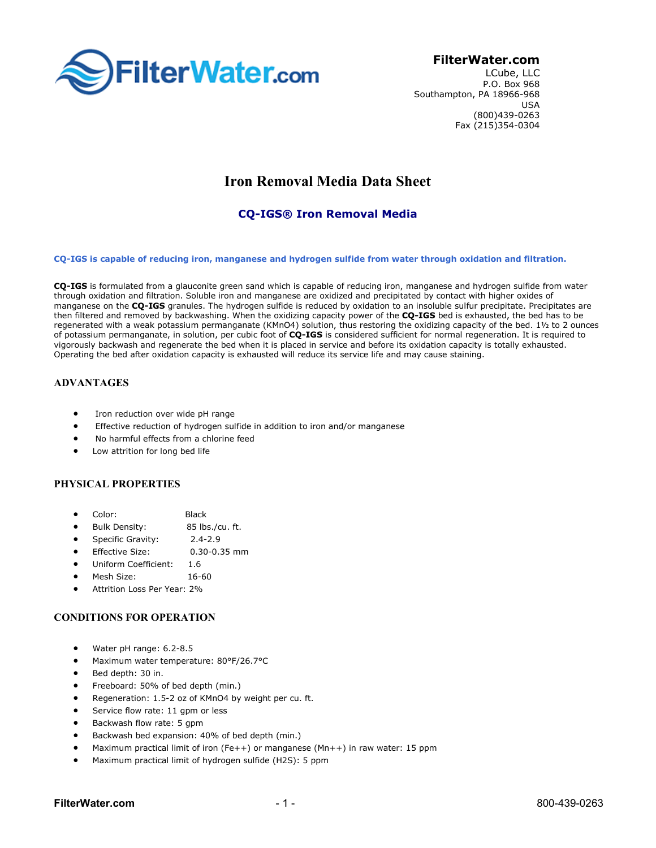

## FilterWater.com

LCube, LLC P.O. Box 968 Southampton, PA 18966-968 USA (800)439-0263 Fax (215)354-0304

# Iron Removal Media Data Sheet

## CQ-IGS® Iron Removal Media

CQ-IGS is capable of reducing iron, manganese and hydrogen sulfide from water through oxidation and filtration.

CQ-IGS is formulated from a glauconite green sand which is capable of reducing iron, manganese and hydrogen sulfide from water through oxidation and filtration. Soluble iron and manganese are oxidized and precipitated by contact with higher oxides of manganese on the CO-IGS granules. The hydrogen sulfide is reduced by oxidation to an insoluble sulfur precipitate. Precipitates are then filtered and removed by backwashing. When the oxidizing capacity power of the CQ-IGS bed is exhausted, the bed has to be regenerated with a weak potassium permanganate (KMnO4) solution, thus restoring the oxidizing capacity of the bed. 1½ to 2 ounces of potassium permanganate, in solution, per cubic foot of CQ-IGS is considered sufficient for normal regeneration. It is required to vigorously backwash and regenerate the bed when it is placed in service and before its oxidation capacity is totally exhausted. Operating the bed after oxidation capacity is exhausted will reduce its service life and may cause staining.

## ADVANTAGES

- Iron reduction over wide pH range
- Effective reduction of hydrogen sulfide in addition to iron and/or manganese
- No harmful effects from a chlorine feed
- Low attrition for long bed life

#### PHYSICAL PROPERTIES

- Color: Black
- Bulk Density: 85 lbs./cu. ft.
- Specific Gravity: 2.4-2.9
- Effective Size: 0.30-0.35 mm
- Uniform Coefficient: 1.6
- Mesh Size: 16-60
- Attrition Loss Per Year: 2%

## CONDITIONS FOR OPERATION

- Water pH range: 6.2-8.5
- Maximum water temperature: 80°F/26.7°C
- Bed depth: 30 in.
- Freeboard: 50% of bed depth (min.)
- Regeneration: 1.5-2 oz of KMnO4 by weight per cu. ft.
- Service flow rate: 11 gpm or less
- Backwash flow rate: 5 gpm
- Backwash bed expansion: 40% of bed depth (min.)
- Maximum practical limit of iron (Fe++) or manganese (Mn++) in raw water: 15 ppm
- Maximum practical limit of hydrogen sulfide (H2S): 5 ppm